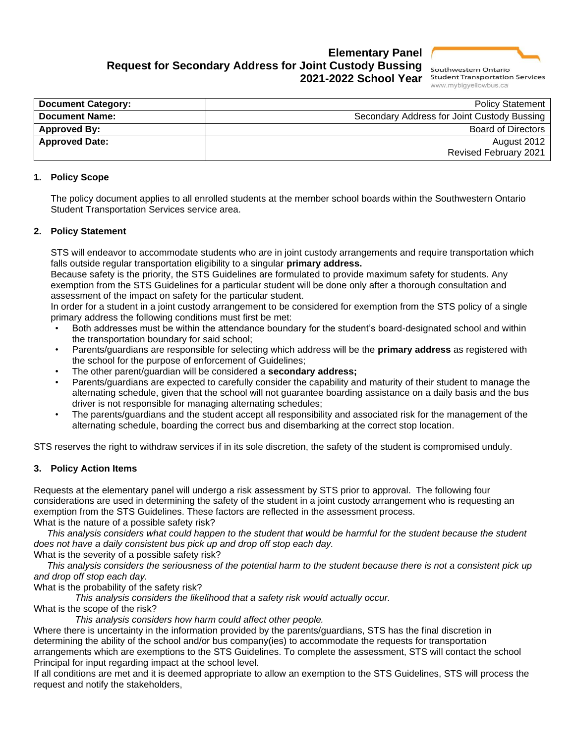

## **Elementary Panel Request for Secondary Address for Joint Custody Bussing 2021-2022 School Year**

**Student Transportation Services** www.mybiqyellowbus.ca

| <b>Document Category:</b> | <b>Policy Statement</b>                     |
|---------------------------|---------------------------------------------|
| <b>Document Name:</b>     | Secondary Address for Joint Custody Bussing |
| <b>Approved By:</b>       | <b>Board of Directors</b>                   |
| <b>Approved Date:</b>     | August 2012                                 |
|                           | <b>Revised February 2021</b>                |

#### **1. Policy Scope**

The policy document applies to all enrolled students at the member school boards within the Southwestern Ontario Student Transportation Services service area.

#### **2. Policy Statement**

STS will endeavor to accommodate students who are in joint custody arrangements and require transportation which falls outside regular transportation eligibility to a singular **primary address.**

Because safety is the priority, the STS Guidelines are formulated to provide maximum safety for students. Any exemption from the STS Guidelines for a particular student will be done only after a thorough consultation and assessment of the impact on safety for the particular student.

In order for a student in a joint custody arrangement to be considered for exemption from the STS policy of a single primary address the following conditions must first be met:

- Both addresses must be within the attendance boundary for the student's board-designated school and within the transportation boundary for said school;
- Parents/guardians are responsible for selecting which address will be the **primary address** as registered with the school for the purpose of enforcement of Guidelines;
- The other parent/guardian will be considered a **secondary address;**
- Parents/guardians are expected to carefully consider the capability and maturity of their student to manage the alternating schedule, given that the school will not guarantee boarding assistance on a daily basis and the bus driver is not responsible for managing alternating schedules;
- The parents/guardians and the student accept all responsibility and associated risk for the management of the alternating schedule, boarding the correct bus and disembarking at the correct stop location.

STS reserves the right to withdraw services if in its sole discretion, the safety of the student is compromised unduly.

#### **3. Policy Action Items**

Requests at the elementary panel will undergo a risk assessment by STS prior to approval. The following four considerations are used in determining the safety of the student in a joint custody arrangement who is requesting an exemption from the STS Guidelines. These factors are reflected in the assessment process. What is the nature of a possible safety risk?

*This analysis considers what could happen to the student that would be harmful for the student because the student does not have a daily consistent bus pick up and drop off stop each day.*

What is the severity of a possible safety risk?

*This analysis considers the seriousness of the potential harm to the student because there is not a consistent pick up and drop off stop each day.*

What is the probability of the safety risk?

*This analysis considers the likelihood that a safety risk would actually occur.*

What is the scope of the risk?

*This analysis considers how harm could affect other people.*

Where there is uncertainty in the information provided by the parents/guardians, STS has the final discretion in determining the ability of the school and/or bus company(ies) to accommodate the requests for transportation arrangements which are exemptions to the STS Guidelines. To complete the assessment, STS will contact the school Principal for input regarding impact at the school level.

If all conditions are met and it is deemed appropriate to allow an exemption to the STS Guidelines, STS will process the request and notify the stakeholders,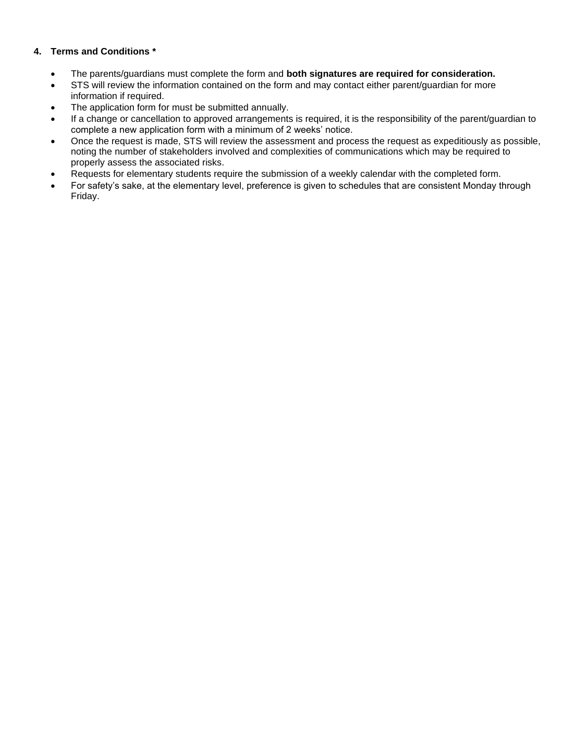### **4. Terms and Conditions \***

- The parents/guardians must complete the form and **both signatures are required for consideration.**
- STS will review the information contained on the form and may contact either parent/quardian for more information if required.
- The application form for must be submitted annually.
- If a change or cancellation to approved arrangements is required, it is the responsibility of the parent/guardian to complete a new application form with a minimum of 2 weeks' notice.
- Once the request is made, STS will review the assessment and process the request as expeditiously as possible, noting the number of stakeholders involved and complexities of communications which may be required to properly assess the associated risks.
- Requests for elementary students require the submission of a weekly calendar with the completed form.
- For safety's sake, at the elementary level, preference is given to schedules that are consistent Monday through Friday.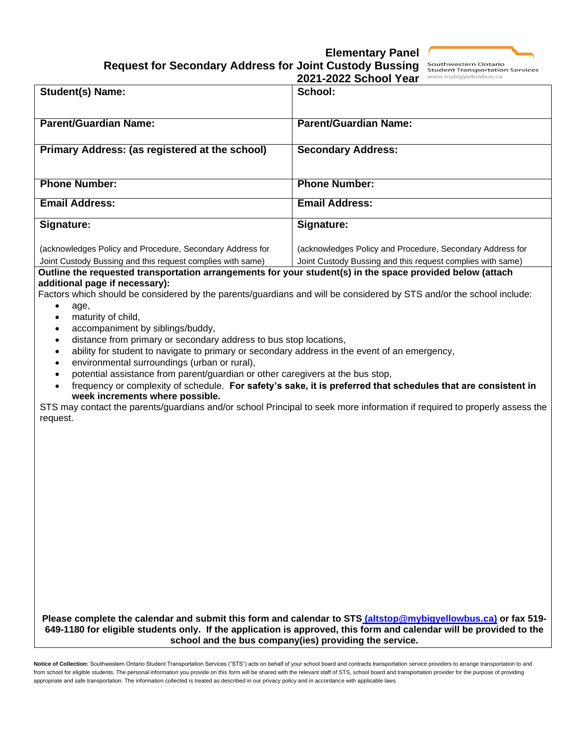# **Elementary Panel**

Southwestern Ontario

| <b>Request for Secondary Address for Joint Custody Bussing</b> |  |  |  |
|----------------------------------------------------------------|--|--|--|
|----------------------------------------------------------------|--|--|--|

|                                                                                                                                                                                                                                                                                                                                                                                                                                                                                                                                                                                                                                                                            | <b>Student Transportation Services</b><br>2021-2022 School Year<br>www.mybigyellowbus.ca                                                                                                                                                   |
|----------------------------------------------------------------------------------------------------------------------------------------------------------------------------------------------------------------------------------------------------------------------------------------------------------------------------------------------------------------------------------------------------------------------------------------------------------------------------------------------------------------------------------------------------------------------------------------------------------------------------------------------------------------------------|--------------------------------------------------------------------------------------------------------------------------------------------------------------------------------------------------------------------------------------------|
| Student(s) Name:                                                                                                                                                                                                                                                                                                                                                                                                                                                                                                                                                                                                                                                           | School:                                                                                                                                                                                                                                    |
| <b>Parent/Guardian Name:</b>                                                                                                                                                                                                                                                                                                                                                                                                                                                                                                                                                                                                                                               | <b>Parent/Guardian Name:</b>                                                                                                                                                                                                               |
|                                                                                                                                                                                                                                                                                                                                                                                                                                                                                                                                                                                                                                                                            |                                                                                                                                                                                                                                            |
| Primary Address: (as registered at the school)                                                                                                                                                                                                                                                                                                                                                                                                                                                                                                                                                                                                                             | <b>Secondary Address:</b>                                                                                                                                                                                                                  |
|                                                                                                                                                                                                                                                                                                                                                                                                                                                                                                                                                                                                                                                                            |                                                                                                                                                                                                                                            |
| <b>Phone Number:</b>                                                                                                                                                                                                                                                                                                                                                                                                                                                                                                                                                                                                                                                       | <b>Phone Number:</b>                                                                                                                                                                                                                       |
| <b>Email Address:</b>                                                                                                                                                                                                                                                                                                                                                                                                                                                                                                                                                                                                                                                      | <b>Email Address:</b>                                                                                                                                                                                                                      |
| Signature:                                                                                                                                                                                                                                                                                                                                                                                                                                                                                                                                                                                                                                                                 | Signature:                                                                                                                                                                                                                                 |
| (acknowledges Policy and Procedure, Secondary Address for                                                                                                                                                                                                                                                                                                                                                                                                                                                                                                                                                                                                                  | (acknowledges Policy and Procedure, Secondary Address for                                                                                                                                                                                  |
| Joint Custody Bussing and this request complies with same)<br>Outline the requested transportation arrangements for your student(s) in the space provided below (attach                                                                                                                                                                                                                                                                                                                                                                                                                                                                                                    | Joint Custody Bussing and this request complies with same)                                                                                                                                                                                 |
| additional page if necessary):<br>Factors which should be considered by the parents/guardians and will be considered by STS and/or the school include:<br>age,<br>maturity of child,<br>$\bullet$<br>accompaniment by siblings/buddy,<br>$\bullet$<br>distance from primary or secondary address to bus stop locations,<br>$\bullet$<br>ability for student to navigate to primary or secondary address in the event of an emergency,<br>$\bullet$<br>environmental surroundings (urban or rural),<br>$\bullet$<br>potential assistance from parent/guardian or other caregivers at the bus stop,<br>$\bullet$<br>$\bullet$<br>week increments where possible.<br>request. | frequency or complexity of schedule. For safety's sake, it is preferred that schedules that are consistent in<br>STS may contact the parents/guardians and/or school Principal to seek more information if required to properly assess the |

**Please complete the calendar and submit this form and calendar to STS [\(altstop@mybigyellowbus.ca\)](mailto:altstop@mybigyellowbus.ca) or fax 519- 649-1180 for eligible students only. If the application is approved, this form and calendar will be provided to the school and the bus company(ies) providing the service.**

Notice of Collection: Southwestern Ontario Student Transportation Services ("STS") acts on behalf of your school board and contracts transportation service providers to arrange transportation to and from school for eligible students. The personal information you provide on this form will be shared with the relevant staff of STS, school board and transportation provider for the purpose of providing appropriate and safe transportation. The information collected is treated as described in our privacy policy and in accordance with applicable laws